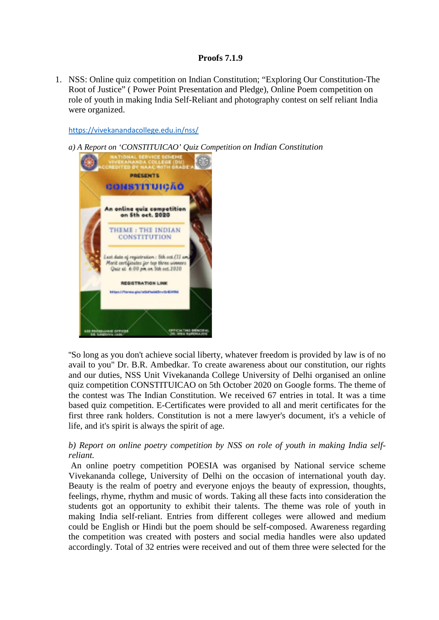## **Proofs 7.1.9**

1. NSS: Online quiz competition on Indian Constitution; "Exploring Our Constitution-The Root of Justice" ( Power Point Presentation and Pledge), Online Poem competition on role of youth in making India Self-Reliant and photography contest on self reliant India were organized.

<https://vivekanandacollege.edu.in/nss/>

*a) A Report on 'CONSTITUICAO' Quiz Competition on Indian Constitution*



"So long as you don't achieve social liberty, whatever freedom is provided by law is of no avail to you" Dr. B.R. Ambedkar. To create awareness about our constitution, our rights and our duties, NSS Unit Vivekananda College University of Delhi organised an online quiz competition CONSTITUICAO on 5th October 2020 on Google forms. The theme of the contest was The Indian Constitution. We received 67 entries in total. It was a time based quiz competition. E-Certificates were provided to all and merit certificates for the first three rank holders. Constitution is not a mere lawyer's document, it's a vehicle of life, and it's spirit is always the spirit of age.

## *b) Report on online poetry competition by NSS on role of youth in making India selfreliant.*

An online poetry competition POESIA was organised by National service scheme Vivekananda college, University of Delhi on the occasion of international youth day. Beauty is the realm of poetry and everyone enjoys the beauty of expression, thoughts, feelings, rhyme, rhythm and music of words. Taking all these facts into consideration the students got an opportunity to exhibit their talents. The theme was role of youth in making India self-reliant. Entries from different colleges were allowed and medium could be English or Hindi but the poem should be self-composed. Awareness regarding the competition was created with posters and social media handles were also updated accordingly. Total of 32 entries were received and out of them three were selected for the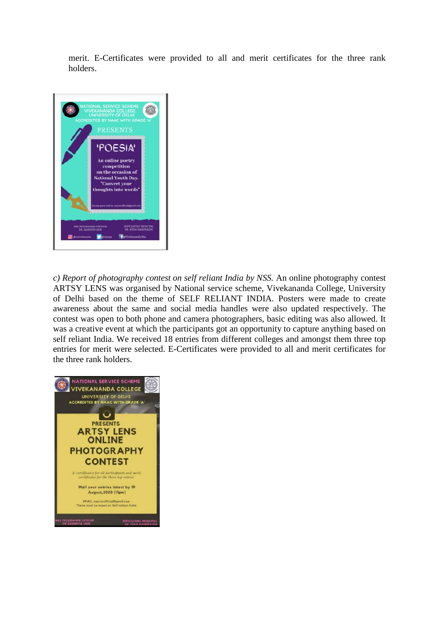merit. E-Certificates were provided to all and merit certificates for the three rank holders.



*c) Report of photography contest on self reliant India by NSS.* An online photography contest ARTSY LENS was organised by National service scheme, Vivekananda College, University of Delhi based on the theme of SELF RELIANT INDIA. Posters were made to create awareness about the same and social media handles were also updated respectively. The contest was open to both phone and camera photographers, basic editing was also allowed. It was a creative event at which the participants got an opportunity to capture anything based on self reliant India. We received 18 entries from different colleges and amongst them three top entries for merit were selected. E-Certificates were provided to all and merit certificates for the three rank holders.

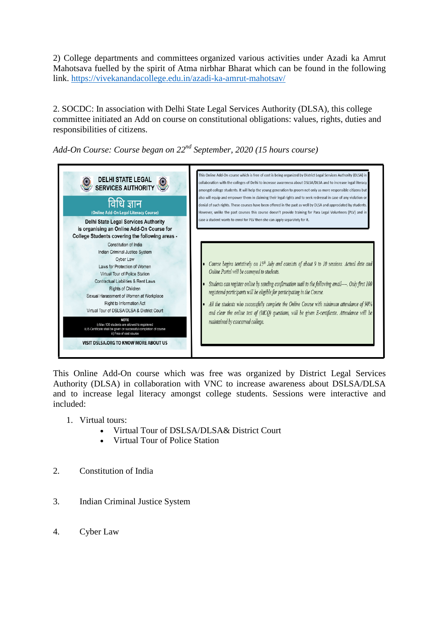2) College departments and committees organized various activities under Azadi ka Amrut Mahotsava fuelled by the spirit of Atma nirbhar Bharat which can be found in the following link. <https://vivekanandacollege.edu.in/azadi-ka-amrut-mahotsav/>

2. SOCDC: In association with Delhi State Legal Services Authority (DLSA), this college committee initiated an Add on course on constitutional obligations: values, rights, duties and responsibilities of citizens.

*Add-On Course: Course began on 22nd September, 2020 (15 hours course)*



This Online Add-On course which was free was organized by District Legal Services Authority (DLSA) in collaboration with VNC to increase awareness about DSLSA/DLSA and to increase legal literacy amongst college students. Sessions were interactive and included:

- 1. Virtual tours:
	- Virtual Tour of DSLSA/DLSA& District Court
	- Virtual Tour of Police Station
- 2. Constitution of India
- 3. Indian Criminal Justice System
- 4. Cyber Law